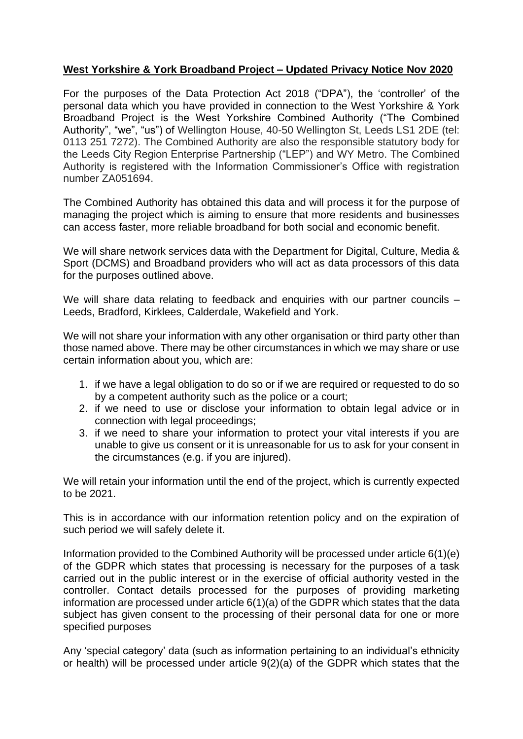## **West Yorkshire & York Broadband Project – Updated Privacy Notice Nov 2020**

For the purposes of the Data Protection Act 2018 ("DPA"), the 'controller' of the personal data which you have provided in connection to the West Yorkshire & York Broadband Project is the West Yorkshire Combined Authority ("The Combined Authority", "we", "us") of Wellington House, 40-50 Wellington St, Leeds LS1 2DE (tel: 0113 251 7272). The Combined Authority are also the responsible statutory body for the Leeds City Region Enterprise Partnership ("LEP") and WY Metro. The Combined Authority is registered with the Information Commissioner's Office with registration number ZA051694.

The Combined Authority has obtained this data and will process it for the purpose of managing the project which is aiming to ensure that more residents and businesses can access faster, more reliable broadband for both social and economic benefit.

We will share network services data with the Department for Digital, Culture, Media & Sport (DCMS) and Broadband providers who will act as data processors of this data for the purposes outlined above.

We will share data relating to feedback and enquiries with our partner councils – Leeds, Bradford, Kirklees, Calderdale, Wakefield and York.

We will not share your information with any other organisation or third party other than those named above. There may be other circumstances in which we may share or use certain information about you, which are:

- 1. if we have a legal obligation to do so or if we are required or requested to do so by a competent authority such as the police or a court;
- 2. if we need to use or disclose your information to obtain legal advice or in connection with legal proceedings;
- 3. if we need to share your information to protect your vital interests if you are unable to give us consent or it is unreasonable for us to ask for your consent in the circumstances (e.g. if you are injured).

We will retain your information until the end of the project, which is currently expected to be 2021.

This is in accordance with our information retention policy and on the expiration of such period we will safely delete it.

Information provided to the Combined Authority will be processed under article 6(1)(e) of the GDPR which states that processing is necessary for the purposes of a task carried out in the public interest or in the exercise of official authority vested in the controller. Contact details processed for the purposes of providing marketing information are processed under article 6(1)(a) of the GDPR which states that the data subject has given consent to the processing of their personal data for one or more specified purposes

Any 'special category' data (such as information pertaining to an individual's ethnicity or health) will be processed under article 9(2)(a) of the GDPR which states that the